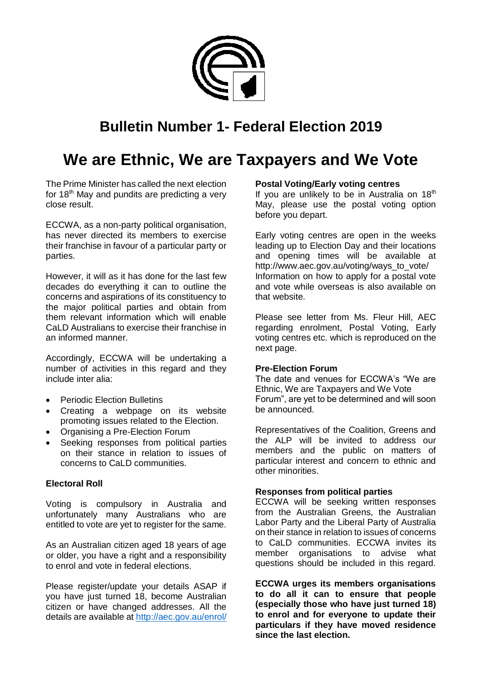

# **Bulletin Number 1- Federal Election 2019**

# **We are Ethnic, We are Taxpayers and We Vote**

The Prime Minister has called the next election for 18<sup>th</sup> May and pundits are predicting a very close result.

ECCWA, as a non-party political organisation, has never directed its members to exercise their franchise in favour of a particular party or parties.

However, it will as it has done for the last few decades do everything it can to outline the concerns and aspirations of its constituency to the major political parties and obtain from them relevant information which will enable CaLD Australians to exercise their franchise in an informed manner.

Accordingly, ECCWA will be undertaking a number of activities in this regard and they include inter alia:

- Periodic Election Bulletins
- Creating a webpage on its website promoting issues related to the Election.
- Organising a Pre-Election Forum
- Seeking responses from political parties on their stance in relation to issues of concerns to CaLD communities.

# **Electoral Roll**

Voting is compulsory in Australia and unfortunately many Australians who are entitled to vote are yet to register for the same.

As an Australian citizen aged 18 years of age or older, you have a right and a responsibility to enrol and vote in federal elections.

Please register/update your details ASAP if you have just turned 18, become Australian citizen or have changed addresses. All the details are available at<http://aec.gov.au/enrol/>

# **Postal Voting/Early voting centres**

If you are unlikely to be in Australia on  $18<sup>th</sup>$ May, please use the postal voting option before you depart.

Early voting centres are open in the weeks leading up to Election Day and their locations and opening times will be available at http://www.aec.gov.au/voting/ways\_to\_vote/ Information on how to apply for a postal vote and vote while overseas is also available on that website.

Please see letter from Ms. Fleur Hill, AEC regarding enrolment, Postal Voting, Early voting centres etc. which is reproduced on the next page.

# **Pre-Election Forum**

The date and venues for ECCWA's "We are Ethnic, We are Taxpayers and We Vote Forum", are yet to be determined and will soon be announced.

Representatives of the Coalition, Greens and the ALP will be invited to address our members and the public on matters of particular interest and concern to ethnic and other minorities.

# **Responses from political parties**

ECCWA will be seeking written responses from the Australian Greens, the Australian Labor Party and the Liberal Party of Australia on their stance in relation to issues of concerns to CaLD communities. ECCWA invites its member organisations to advise what questions should be included in this regard.

**ECCWA urges its members organisations to do all it can to ensure that people (especially those who have just turned 18) to enrol and for everyone to update their particulars if they have moved residence since the last election.**